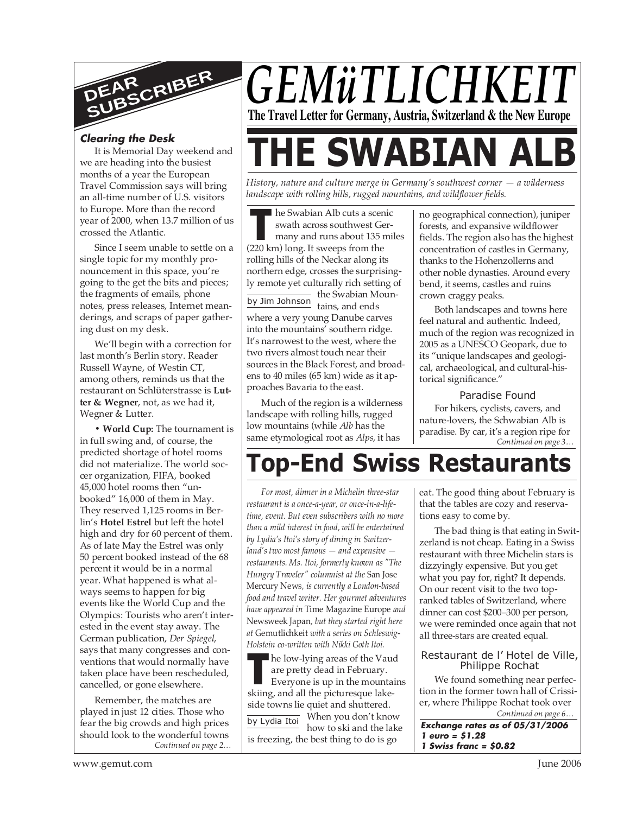

#### **Clearing the Desk**

It is Memorial Day weekend and we are heading into the busiest months of a year the European Travel Commission says will bring an all-time number of U.S. visitors to Europe. More than the record year of 2000, when 13.7 million of us crossed the Atlantic.

Since I seem unable to settle on a single topic for my monthly pronouncement in this space, you're going to the get the bits and pieces; the fragments of emails, phone notes, press releases, Internet meanderings, and scraps of paper gathering dust on my desk.

We'll begin with a correction for last month's Berlin story. Reader Russell Wayne, of Westin CT, among others, reminds us that the restaurant on Schlüterstrasse is **Lutter & Wegner**, not, as we had it, Wegner & Lutter.

**• World Cup:** The tournament is in full swing and, of course, the predicted shortage of hotel rooms did not materialize. The world soccer organization, FIFA, booked 45,000 hotel rooms then "unbooked" 16,000 of them in May. They reserved 1,125 rooms in Berlin's **Hotel Estrel** but left the hotel high and dry for 60 percent of them. As of late May the Estrel was only 50 percent booked instead of the 68 percent it would be in a normal year. What happened is what always seems to happen for big events like the World Cup and the Olympics: Tourists who aren't interested in the event stay away. The German publication, *Der Spiegel*, says that many congresses and conventions that would normally have taken place have been rescheduled, cancelled, or gone elsewhere.

*Continued on page 2…* Remember, the matches are played in just 12 cities. Those who fear the big crowds and high prices should look to the wonderful towns

## *GEMüTLICHKEIT* **The Travel Letter for Germany, Austria, Switzerland & the New Europe**

# **THE SWABIAN A**

*History, nature and culture merge in Germany's southwest corner — a wilderness landscape with rolling hills, rugged mountains, and wildflower fields.*

**THE SENGE STAND AND CUTS A SCREED SWATH ACTOR SWATER (220 km) long. It sweeps from the** he Swabian Alb cuts a scenic swath across southwest Germany and runs about 135 miles rolling hills of the Neckar along its northern edge, crosses the surprisingly remote yet culturally rich setting of the Swabian Mounby Jim Johnson<br>tains, and ends

where a very young Danube carves into the mountains' southern ridge. It's narrowest to the west, where the two rivers almost touch near their sources in the Black Forest, and broadens to 40 miles (65 km) wide as it approaches Bavaria to the east.

Much of the region is a wilderness landscape with rolling hills, rugged low mountains (while *Alb* has the same etymological root as *Alps*, it has

no geographical connection), juniper forests, and expansive wildflower fields. The region also has the highest concentration of castles in Germany, thanks to the Hohenzollerns and other noble dynasties. Around every bend, it seems, castles and ruins crown craggy peaks.

Both landscapes and towns here feel natural and authentic. Indeed, much of the region was recognized in 2005 as a UNESCO Geopark, due to its "unique landscapes and geological, archaeological, and cultural-historical significance."

#### Paradise Found

*Continued on page 3…* For hikers, cyclists, cavers, and nature-lovers, the Schwabian Alb is paradise. By car, it's a region ripe for

### **Top-End Swiss Restauran**

*For most, dinner in a Michelin three-star restaurant is a once-a-year, or once-in-a-lifetime, event. But even subscribers with no more than a mild interest in food, will be entertained by Lydia's Itoi's story of dining in Switzerland's two most famous — and expensive restaurants. Ms. Itoi, formerly known as "The Hungry Traveler" columnist at the* San Jose Mercury News*, is currently a London-based food and travel writer. Her gourmet adventures have appeared in* Time Magazine Europe *and* Newsweek Japan*, but they started right here at* Gemutlichkeit *with a series on Schleswig-Holstein co-written with Nikki Goth Itoi.*

he low-lying areas of the Vaud are pretty dead in February.

**THE SKING STARK SKING STARK SERVIDE SKING SKING SKING SKIING, and all the picturesque lake-<br>
From all the picturesque lake-**Everyone is up in the mountains side towns lie quiet and shuttered. When you don't know how to ski and the lake is freezing, the best thing to do is go by Lydia Itoi

eat. The good thing about February is that the tables are cozy and reservations easy to come by.

The bad thing is that eating in Switzerland is not cheap. Eating in a Swiss restaurant with three Michelin stars is dizzyingly expensive. But you get what you pay for, right? It depends. On our recent visit to the two topranked tables of Switzerland, where dinner can cost \$200–300 per person, we were reminded once again that not all three-stars are created equal.

#### Restaurant de l' Hotel de Ville, Philippe Rochat

*Continued on page 6…* We found something near perfection in the former town hall of Crissier, where Philippe Rochat took over

**Exchange rates as of 05/31/2006 1 euro = \$1.28 1 Swiss franc = \$0.82**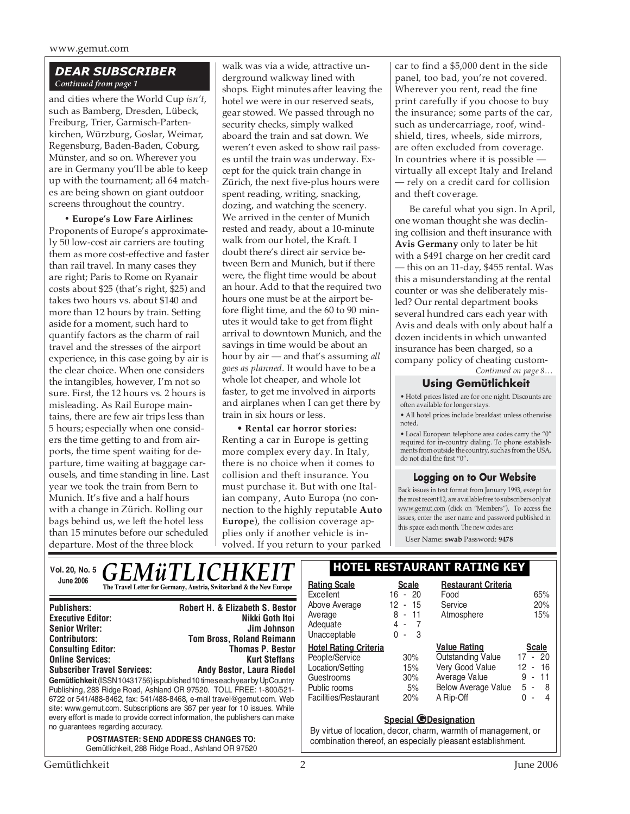#### *DEAR SUBSCRIBER Continued from page 1*

and cities where the World Cup *isn't*, such as Bamberg, Dresden, Lübeck, Freiburg, Trier, Garmisch-Partenkirchen, Würzburg, Goslar, Weimar, Regensburg, Baden-Baden, Coburg, Münster, and so on. Wherever you are in Germany you'll be able to keep up with the tournament; all 64 matches are being shown on giant outdoor screens throughout the country.

**• Europe's Low Fare Airlines:** Proponents of Europe's approximately 50 low-cost air carriers are touting them as more cost-effective and faster than rail travel. In many cases they are right; Paris to Rome on Ryanair costs about \$25 (that's right, \$25) and takes two hours vs. about \$140 and more than 12 hours by train. Setting aside for a moment, such hard to quantify factors as the charm of rail travel and the stresses of the airport experience, in this case going by air is the clear choice. When one considers the intangibles, however, I'm not so sure. First, the 12 hours vs. 2 hours is misleading. As Rail Europe maintains, there are few air trips less than 5 hours; especially when one considers the time getting to and from airports, the time spent waiting for departure, time waiting at baggage carousels, and time standing in line. Last year we took the train from Bern to Munich. It's five and a half hours with a change in Zürich. Rolling our bags behind us, we left the hotel less than 15 minutes before our scheduled departure. Most of the three block

walk was via a wide, attractive underground walkway lined with shops. Eight minutes after leaving the hotel we were in our reserved seats, gear stowed. We passed through no security checks, simply walked aboard the train and sat down. We weren't even asked to show rail passes until the train was underway. Except for the quick train change in Zürich, the next five-plus hours were spent reading, writing, snacking, dozing, and watching the scenery. We arrived in the center of Munich rested and ready, about a 10-minute walk from our hotel, the Kraft. I doubt there's direct air service between Bern and Munich, but if there were, the flight time would be about an hour. Add to that the required two hours one must be at the airport before flight time, and the 60 to 90 minutes it would take to get from flight arrival to downtown Munich, and the savings in time would be about an hour by air — and that's assuming *all goes as planned*. It would have to be a whole lot cheaper, and whole lot faster, to get me involved in airports and airplanes when I can get there by train in six hours or less.

• **Rental car horror stories:** Renting a car in Europe is getting more complex every day. In Italy, there is no choice when it comes to collision and theft insurance. You must purchase it. But with one Italian company, Auto Europa (no connection to the highly reputable **Auto Europe**), the collision coverage applies only if another vehicle is involved. If you return to your parked

car to find a \$5,000 dent in the side panel, too bad, you're not covered. Wherever you rent, read the fine print carefully if you choose to buy the insurance; some parts of the car, such as undercarriage, roof, windshield, tires, wheels, side mirrors, are often excluded from coverage. In countries where it is possible virtually all except Italy and Ireland — rely on a credit card for collision and theft coverage.

Be careful what you sign. In April, one woman thought she was declining collision and theft insurance with **Avis Germany** only to later be hit with a \$491 charge on her credit card — this on an 11-day, \$455 rental. Was this a misunderstanding at the rental counter or was she deliberately misled? Our rental department books several hundred cars each year with Avis and deals with only about half a dozen incidents in which unwanted insurance has been charged, so a company policy of cheating custom-

*Continued on page 8…*

#### **Using Gemütlichkeit**

• Hotel prices listed are for one night. Discounts are often available for longer stays.

• All hotel prices include breakfast unless otherwise noted.

• Local European telephone area codes carry the "0" required for in-country dialing. To phone establishments from outside the country, such as from the USA, do not dial the first "0".

#### **Logging on to Our Website**

Back issues in text format from January 1993, except for the most recent 12, are available free to subscribers only at www.gemut.com (click on "Members"). To access the issues, enter the user name and password published in this space each month. The new codes are:

User Name: **swab** Password: **9478**

#### Vol. 20, No. 5<sup></sup>  $\bigcap$  **F M** i  $\bigcap$  **H**  $\bigcap$  **H**  $\bigcap$  **H**  $\bigcap$  **HOTEL RESTAURANT RATING KEY** June 2006<br> **The Travel Letter for Germany, Austria, Switzerland & the New Europe** | **Rating Scale** Scale *GEMüTLICHKEIT*  $\mathbb{R}$

| <b>Publishers:</b>                                                                                                                                                                                                                                                                                                                                                                                                           | <b>Robert H. &amp; Elizabeth S. Bestor</b> |  |
|------------------------------------------------------------------------------------------------------------------------------------------------------------------------------------------------------------------------------------------------------------------------------------------------------------------------------------------------------------------------------------------------------------------------------|--------------------------------------------|--|
| <b>Executive Editor:</b>                                                                                                                                                                                                                                                                                                                                                                                                     | Nikki Goth Itoi                            |  |
| <b>Senior Writer:</b>                                                                                                                                                                                                                                                                                                                                                                                                        | Jim Johnson                                |  |
| <b>Contributors:</b>                                                                                                                                                                                                                                                                                                                                                                                                         | <b>Tom Bross, Roland Reimann</b>           |  |
| <b>Consulting Editor:</b>                                                                                                                                                                                                                                                                                                                                                                                                    | <b>Thomas P. Bestor</b>                    |  |
| <b>Online Services:</b>                                                                                                                                                                                                                                                                                                                                                                                                      | <b>Kurt Steffans</b>                       |  |
| <b>Subscriber Travel Services:</b>                                                                                                                                                                                                                                                                                                                                                                                           | <b>Andy Bestor, Laura Riedel</b>           |  |
| Gemütlichkeit (ISSN 10431756) is published 10 times each year by UpCountry<br>Publishing, 288 Ridge Road, Ashland OR 97520. TOLL FREE: 1-800/521-<br>6722 or 541/488-8462, fax: 541/488-8468, e-mail travel@gemut.com. Web<br>site: www.gemut.com. Subscriptions are \$67 per year for 10 issues. While<br>every effort is made to provide correct information, the publishers can make<br>no quarantees regarding accuracy. |                                            |  |
| <b>POSTMASTER: SEND ADDRESS CHANGES TO:</b><br>Gemütlichkeit, 288 Ridge Road., Ashland OR 97520                                                                                                                                                                                                                                                                                                                              |                                            |  |

| <b>Rating Scale</b><br>Excellent<br>Above Average<br>Average<br>Adequate<br>Unacceptable                                  | <b>Scale</b><br>$-20$<br>16<br>12 - 15<br>$-11$<br>8<br>4-7<br>3<br>0<br>ä, | <b>Restaurant Criteria</b><br>Food<br>Service<br>Atmosphere                                                                    | 65%<br>20%<br>15%                                                                          |
|---------------------------------------------------------------------------------------------------------------------------|-----------------------------------------------------------------------------|--------------------------------------------------------------------------------------------------------------------------------|--------------------------------------------------------------------------------------------|
| <b>Hotel Rating Criteria</b><br>People/Service<br>Location/Setting<br>Guestrooms<br>Public rooms<br>Facilities/Restaurant | 30%<br>15%<br>30%<br>5%<br>20%                                              | <b>Value Rating</b><br><b>Outstanding Value</b><br>Very Good Value<br>Average Value<br><b>Below Average Value</b><br>A Rip-Off | <b>Scale</b><br>-20<br>17<br>$\blacksquare$<br>12 - 16<br>9<br>$-11$<br>5 -<br>8<br>U<br>4 |

#### **Special @Designation**

By virtue of location, decor, charm, warmth of management, or combination thereof, an especially pleasant establishment.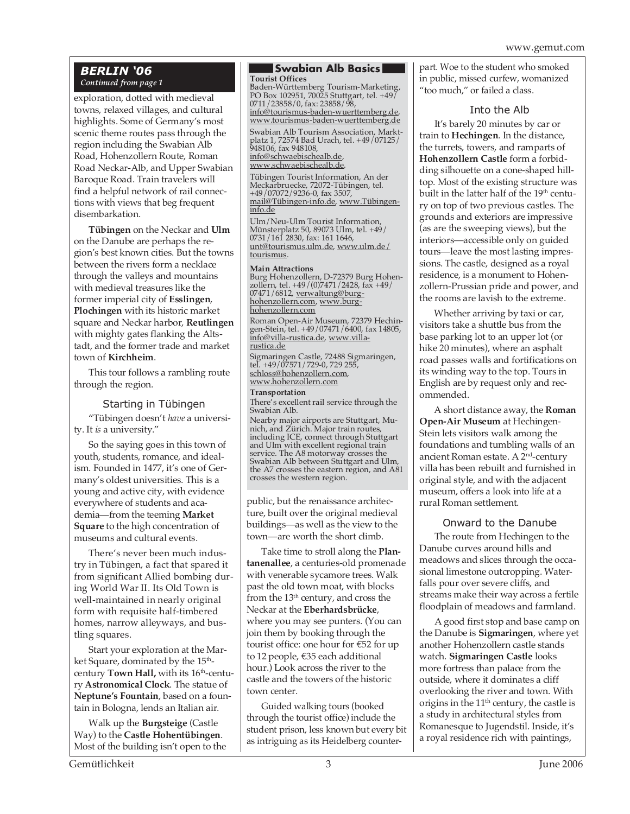#### *BERLIN '06 Continued from page 1*

exploration, dotted with medieval towns, relaxed villages, and cultural highlights. Some of Germany's most scenic theme routes pass through the region including the Swabian Alb Road, Hohenzollern Route, Roman Road Neckar-Alb, and Upper Swabian Baroque Road. Train travelers will find a helpful network of rail connections with views that beg frequent disembarkation.

**Tübingen** on the Neckar and **Ulm** on the Danube are perhaps the region's best known cities. But the towns between the rivers form a necklace through the valleys and mountains with medieval treasures like the former imperial city of **Esslingen**, **Plochingen** with its historic market square and Neckar harbor, **Reutlingen** with mighty gates flanking the Altstadt, and the former trade and market town of **Kirchheim**.

This tour follows a rambling route through the region.

#### Starting in Tübingen

"Tübingen doesn't *have* a university. It *is* a university."

So the saying goes in this town of youth, students, romance, and idealism. Founded in 1477, it's one of Germany's oldest universities. This is a young and active city, with evidence everywhere of students and academia—from the teeming **Market Square** to the high concentration of museums and cultural events.

There's never been much industry in Tübingen, a fact that spared it from significant Allied bombing during World War II. Its Old Town is well-maintained in nearly original form with requisite half-timbered homes, narrow alleyways, and bustling squares.

Start your exploration at the Market Square, dominated by the 15<sup>th</sup>century **Town Hall**, with its 16<sup>th</sup>-century **Astronomical Clock**. The statue of **Neptune's Fountain**, based on a fountain in Bologna, lends an Italian air.

Walk up the **Burgsteige** (Castle Way) to the **Castle Hohentübingen**. Most of the building isn't open to the

#### **Swabian Alb Basics**

. Baden-Württemberg Tourism-Marketing, PO Box 102951, 70025 Stuttgart, tel. +49/ **Tourist Offices** 0711/23858/0, fax: 23858/98, info@tourismus-baden-wuerttemberg.de, www.tourismus-baden-wuerttemberg.de

Swabian Alb Tourism Association, Marktplatz 1, 72574 Bad Urach, tel. +49/07125/ 948106, fax 948108, info@schwaebischealb.de, www.schwaebischealb.de.

Tübingen Tourist Information, An der Meckarbruecke, 72072-Tübingen, tel. +49/07072/9236-0, fax 3507, mail@Tübingen-info.de, www.Tübingeninfo.de

Ulm/Neu-Ulm Tourist Information, Münsterplatz 50, 89073 Ulm, tel. +49/ 0731/161 2830, fax: 161 1646, unt@tourismus.ulm.de, www.ulm.de/ tourismus.

#### **Main Attractions**

Burg Hohenzollern, D-72379 Burg Hohenzollern, tel. +49/(0)7471/2428, fax +49/ 07471/6812, <u>verwaltung@burg-</u><br>hohenzollern.com, www.burg-<br>hohenzollern.com

Roman Open-Air Museum, 72379 Hechingen-Stein, tel. +49/07471/6400, fax 14805, info@villa-rustica.de, www.villarustica.de

Sigmaringen Castle, 72488 Sigmaringen, tel. +49/07571/729-0, 729 255, schloss@hohenzollern.com, www.hohenzollern.com

**Transportation** There's excellent rail service through the Swabian Alb. Nearby major airports are Stuttgart, Munich, and Zürich. Major train routes, including ICE, connect through Stuttgart and Ulm with excellent regional train service. The A8 motorway crosses the Swabian Alb between Stuttgart and Ulm, the A7 crosses the eastern region, and A81 crosses the western region.

public, but the renaissance architecture, built over the original medieval buildings—as well as the view to the town—are worth the short climb.

Take time to stroll along the **Plantanenallee**, a centuries-old promenade with venerable sycamore trees. Walk past the old town moat, with blocks from the 13th century, and cross the Neckar at the **Eberhardsbrücke**, where you may see punters. (You can join them by booking through the tourist office: one hour for €52 for up to 12 people, €35 each additional hour.) Look across the river to the castle and the towers of the historic town center.

Guided walking tours (booked through the tourist office) include the student prison, less known but every bit as intriguing as its Heidelberg counterpart. Woe to the student who smoked in public, missed curfew, womanized "too much," or failed a class.

#### Into the Alb

It's barely 20 minutes by car or train to **Hechingen**. In the distance, the turrets, towers, and ramparts of **Hohenzollern Castle** form a forbidding silhouette on a cone-shaped hilltop. Most of the existing structure was built in the latter half of the 19<sup>th</sup> century on top of two previous castles. The grounds and exteriors are impressive (as are the sweeping views), but the interiors—accessible only on guided tours—leave the most lasting impressions. The castle, designed as a royal residence, is a monument to Hohenzollern-Prussian pride and power, and the rooms are lavish to the extreme.

Whether arriving by taxi or car, visitors take a shuttle bus from the base parking lot to an upper lot (or hike 20 minutes), where an asphalt road passes walls and fortifications on its winding way to the top. Tours in English are by request only and recommended.

A short distance away, the **Roman Open-Air Museum** at Hechingen-Stein lets visitors walk among the foundations and tumbling walls of an ancient Roman estate. A 2nd-century villa has been rebuilt and furnished in original style, and with the adjacent museum, offers a look into life at a rural Roman settlement.

#### Onward to the Danube

The route from Hechingen to the Danube curves around hills and meadows and slices through the occasional limestone outcropping. Waterfalls pour over severe cliffs, and streams make their way across a fertile floodplain of meadows and farmland.

A good first stop and base camp on the Danube is **Sigmaringen**, where yet another Hohenzollern castle stands watch. **Sigmaringen Castle** looks more fortress than palace from the outside, where it dominates a cliff overlooking the river and town. With origins in the  $11<sup>th</sup>$  century, the castle is a study in architectural styles from Romanesque to Jugendstil. Inside, it's a royal residence rich with paintings,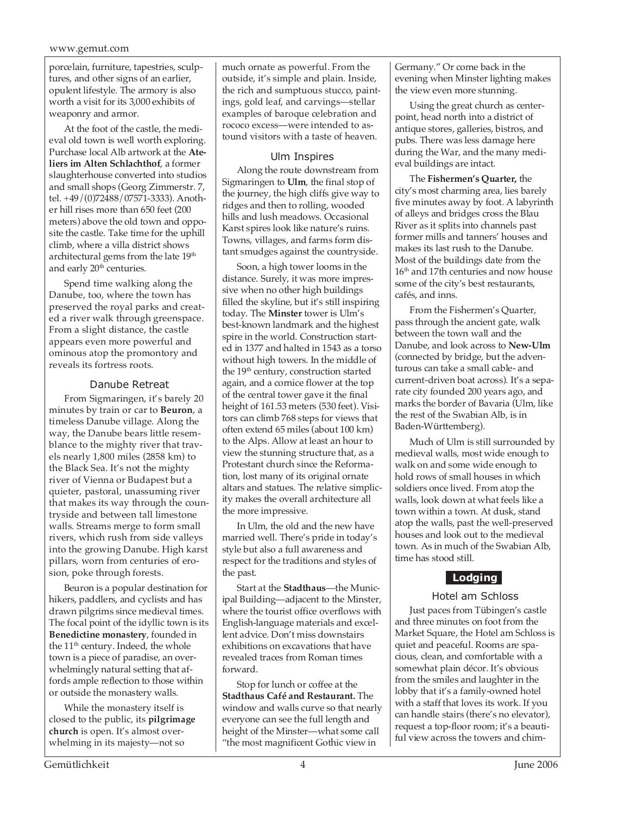porcelain, furniture, tapestries, sculptures, and other signs of an earlier, opulent lifestyle. The armory is also worth a visit for its 3,000 exhibits of weaponry and armor.

At the foot of the castle, the medieval old town is well worth exploring. Purchase local Alb artwork at the **Ateliers im Alten Schlachthof**, a former slaughterhouse converted into studios and small shops (Georg Zimmerstr. 7, tel. +49/(0)72488/07571-3333). Another hill rises more than 650 feet (200 meters) above the old town and opposite the castle. Take time for the uphill climb, where a villa district shows architectural gems from the late 19<sup>th</sup> and early 20<sup>th</sup> centuries.

Spend time walking along the Danube, too, where the town has preserved the royal parks and created a river walk through greenspace. From a slight distance, the castle appears even more powerful and ominous atop the promontory and reveals its fortress roots.

#### Danube Retreat

From Sigmaringen, it's barely 20 minutes by train or car to **Beuron**, a timeless Danube village. Along the way, the Danube bears little resemblance to the mighty river that travels nearly 1,800 miles (2858 km) to the Black Sea. It's not the mighty river of Vienna or Budapest but a quieter, pastoral, unassuming river that makes its way through the countryside and between tall limestone walls. Streams merge to form small rivers, which rush from side valleys into the growing Danube. High karst pillars, worn from centuries of erosion, poke through forests.

Beuron is a popular destination for hikers, paddlers, and cyclists and has drawn pilgrims since medieval times. The focal point of the idyllic town is its **Benedictine monastery**, founded in the 11<sup>th</sup> century. Indeed, the whole town is a piece of paradise, an overwhelmingly natural setting that affords ample reflection to those within or outside the monastery walls.

While the monastery itself is closed to the public, its **pilgrimage church** is open. It's almost overwhelming in its majesty—not so

much ornate as powerful. From the outside, it's simple and plain. Inside, the rich and sumptuous stucco, paintings, gold leaf, and carvings—stellar examples of baroque celebration and rococo excess—were intended to astound visitors with a taste of heaven.

#### Ulm Inspires

Along the route downstream from Sigmaringen to **Ulm**, the final stop of the journey, the high cliffs give way to ridges and then to rolling, wooded hills and lush meadows. Occasional Karst spires look like nature's ruins. Towns, villages, and farms form distant smudges against the countryside.

Soon, a high tower looms in the distance. Surely, it was more impressive when no other high buildings filled the skyline, but it's still inspiring today. The **Minster** tower is Ulm's best-known landmark and the highest spire in the world. Construction started in 1377 and halted in 1543 as a torso without high towers. In the middle of the 19<sup>th</sup> century, construction started again, and a cornice flower at the top of the central tower gave it the final height of 161.53 meters (530 feet). Visitors can climb 768 steps for views that often extend 65 miles (about 100 km) to the Alps. Allow at least an hour to view the stunning structure that, as a Protestant church since the Reformation, lost many of its original ornate altars and statues. The relative simplicity makes the overall architecture all the more impressive.

In Ulm, the old and the new have married well. There's pride in today's style but also a full awareness and respect for the traditions and styles of the past.

Start at the **Stadthaus**—the Municipal Building—adjacent to the Minster, where the tourist office overflows with English-language materials and excellent advice. Don't miss downstairs exhibitions on excavations that have revealed traces from Roman times forward.

Stop for lunch or coffee at the **Stadthaus Café and Restaurant.** The window and walls curve so that nearly everyone can see the full length and height of the Minster—what some call "the most magnificent Gothic view in

Germany." Or come back in the evening when Minster lighting makes the view even more stunning.

Using the great church as centerpoint, head north into a district of antique stores, galleries, bistros, and pubs. There was less damage here during the War, and the many medieval buildings are intact.

The **Fishermen's Quarter,** the city's most charming area, lies barely five minutes away by foot. A labyrinth of alleys and bridges cross the Blau River as it splits into channels past former mills and tanners' houses and makes its last rush to the Danube. Most of the buildings date from the 16<sup>th</sup> and 17th centuries and now house some of the city's best restaurants, cafés, and inns.

From the Fishermen's Quarter, pass through the ancient gate, walk between the town wall and the Danube, and look across to **New-Ulm** (connected by bridge, but the adventurous can take a small cable- and current-driven boat across). It's a separate city founded 200 years ago, and marks the border of Bavaria (Ulm, like the rest of the Swabian Alb, is in Baden-Württemberg).

Much of Ulm is still surrounded by medieval walls, most wide enough to walk on and some wide enough to hold rows of small houses in which soldiers once lived. From atop the walls, look down at what feels like a town within a town. At dusk, stand atop the walls, past the well-preserved houses and look out to the medieval town. As in much of the Swabian Alb, time has stood still.

### **Lodging**

#### Hotel am Schloss

Just paces from Tübingen's castle and three minutes on foot from the Market Square, the Hotel am Schloss is quiet and peaceful. Rooms are spacious, clean, and comfortable with a somewhat plain décor. It's obvious from the smiles and laughter in the lobby that it's a family-owned hotel with a staff that loves its work. If you can handle stairs (there's no elevator), request a top-floor room; it's a beautiful view across the towers and chim-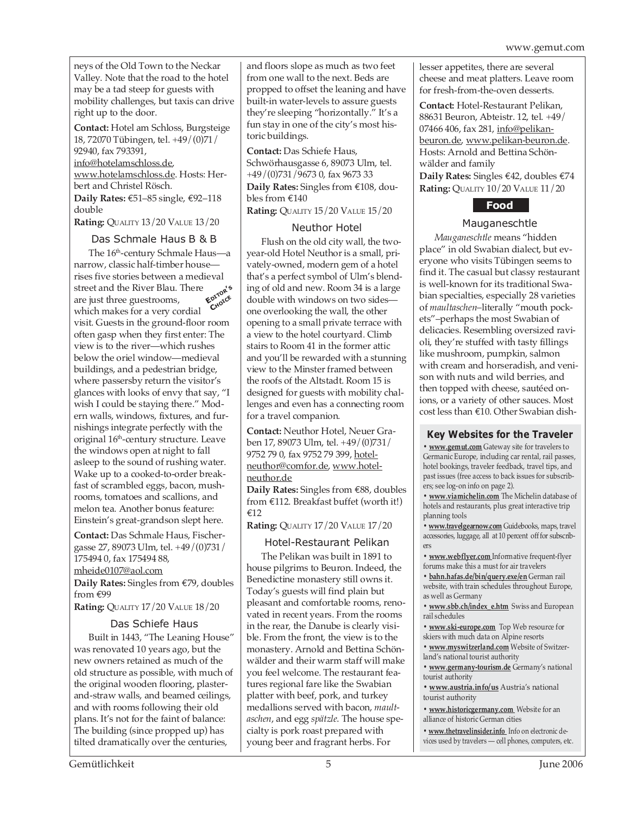neys of the Old Town to the Neckar Valley. Note that the road to the hotel may be a tad steep for guests with mobility challenges, but taxis can drive right up to the door.

**Contact:** Hotel am Schloss, Burgsteige 18, 72070 Tübingen, tel. +49/(0)71/ 92940, fax 793391, info@hotelamschloss.de,

www.hotelamschloss.de. Hosts: Herbert and Christel Rösch.

**Daily Rates:** €51–85 single, €92–118 double

**Rating:** QUALITY 13/20 VALUE 13/20

#### Das Schmale Haus B & B

The 16th-century Schmale Haus—a narrow, classic half-timber house rises five stories between a medieval street and the River Blau. There are just three guestrooms, which makes for a very cordial visit. Guests in the ground-floor room often gasp when they first enter: The view is to the river—which rushes below the oriel window—medieval buildings, and a pedestrian bridge, where passersby return the visitor's glances with looks of envy that say, "I wish I could be staying there." Modern walls, windows, fixtures, and furnishings integrate perfectly with the original 16<sup>th</sup>-century structure. Leave the windows open at night to fall asleep to the sound of rushing water. Wake up to a cooked-to-order breakfast of scrambled eggs, bacon, mushrooms, tomatoes and scallions, and melon tea. Another bonus feature: Einstein's great-grandson slept here. **EDITOR'<sup>S</sup> CHOICE**

**Contact:** Das Schmale Haus, Fischergasse 27, 89073 Ulm, tel. +49/(0)731/ 175494 0, fax 175494 88, mheide0107@aol.com

**Daily Rates:** Singles from €79, doubles from €99

**Rating:** QUALITY 17/20 VALUE 18/20

#### Das Schiefe Haus

Built in 1443, "The Leaning House" was renovated 10 years ago, but the new owners retained as much of the old structure as possible, with much of the original wooden flooring, plasterand-straw walls, and beamed ceilings, and with rooms following their old plans. It's not for the faint of balance: The building (since propped up) has tilted dramatically over the centuries,

and floors slope as much as two feet from one wall to the next. Beds are propped to offset the leaning and have built-in water-levels to assure guests they're sleeping "horizontally." It's a fun stay in one of the city's most historic buildings.

**Contact:** Das Schiefe Haus, Schwörhausgasse 6, 89073 Ulm, tel. +49/(0)731/9673 0, fax 9673 33

**Daily Rates:** Singles from €108, doubles from €140

**Rating:** QUALITY 15/20 VALUE 15/20

#### Neuthor Hotel

Flush on the old city wall, the twoyear-old Hotel Neuthor is a small, privately-owned, modern gem of a hotel that's a perfect symbol of Ulm's blending of old and new. Room 34 is a large double with windows on two sides one overlooking the wall, the other opening to a small private terrace with a view to the hotel courtyard. Climb stairs to Room 41 in the former attic and you'll be rewarded with a stunning view to the Minster framed between the roofs of the Altstadt. Room 15 is designed for guests with mobility challenges and even has a connecting room for a travel companion.

**Contact:** Neuthor Hotel, Neuer Graben 17, 89073 Ulm, tel. +49/(0)731/ 9752 79 0, fax 9752 79 399, hotelneuthor@comfor.de, www.hotelneuthor.de

**Daily Rates:** Singles from €88, doubles from €112. Breakfast buffet (worth it!) €12

**Rating:** QUALITY 17/20 VALUE 17/20

#### Hotel-Restaurant Pelikan

The Pelikan was built in 1891 to house pilgrims to Beuron. Indeed, the Benedictine monastery still owns it. Today's guests will find plain but pleasant and comfortable rooms, renovated in recent years. From the rooms in the rear, the Danube is clearly visible. From the front, the view is to the monastery. Arnold and Bettina Schönwälder and their warm staff will make you feel welcome. The restaurant features regional fare like the Swabian platter with beef, pork, and turkey medallions served with bacon, *maultaschen*, and egg *spätzle*. The house specialty is pork roast prepared with young beer and fragrant herbs. For

lesser appetites, there are several cheese and meat platters. Leave room for fresh-from-the-oven desserts.

**Contact:** Hotel-Restaurant Pelikan, 88631 Beuron, Abteistr. 12, tel. +49/ 07466 406, fax 281, info@pelikanbeuron.de, www.pelikan-beuron.de. Hosts: Arnold and Bettina Schönwälder and family **Daily Rates:** Singles €42, doubles €74 **Rating:** QUALITY 10/20 VALUE 11/20



#### Mauganeschtle

*Mauganeschtle* means "hidden place" in old Swabian dialect, but everyone who visits Tübingen seems to find it. The casual but classy restaurant is well-known for its traditional Swabian specialties, especially 28 varieties of *maultaschen*–literally "mouth pockets"–perhaps the most Swabian of delicacies. Resembling oversized ravioli, they're stuffed with tasty fillings like mushroom, pumpkin, salmon with cream and horseradish, and venison with nuts and wild berries, and then topped with cheese, sautéed onions, or a variety of other sauces. Most cost less than €10. Other Swabian dish-

#### **Key Websites for the Traveler**

**• www.gemut.com** Gateway site for travelers to Germanic Europe, including car rental, rail passes, hotel bookings, traveler feedback, travel tips, and past issues (free access to back issues for subscribers; see log-on info on page 2).

**• www.viamichelin.com** The Michelin database of hotels and restaurants, plus great interactive trip planning tools

**• www.travelgearnow.com** Guidebooks, maps, travel accessories, luggage, all at 10 percent off for subscribers

**• www.webflyer.com** Informative frequent-flyer forums make this a must for air travelers

**• bahn.hafas.de/bin/query.exe/en** German rail website, with train schedules throughout Europe, as well as Germany

**• www.sbb.ch/index\_e.htm** Swiss and European rail schedules

**• www.ski-europe.com** Top Web resource for skiers with much data on Alpine resorts

**• www.myswitzerland.com** Website of Switzerland's national tourist authority

**• www.germany-tourism.de** Germany's national tourist authority

**• www.austria.info/us** Austria's national tourist authority

**• www.historicgermany.com** Website for an alliance of historic German cities

**• www.thetravelinsider.info** Info on electronic devices used by travelers — cell phones, computers, etc.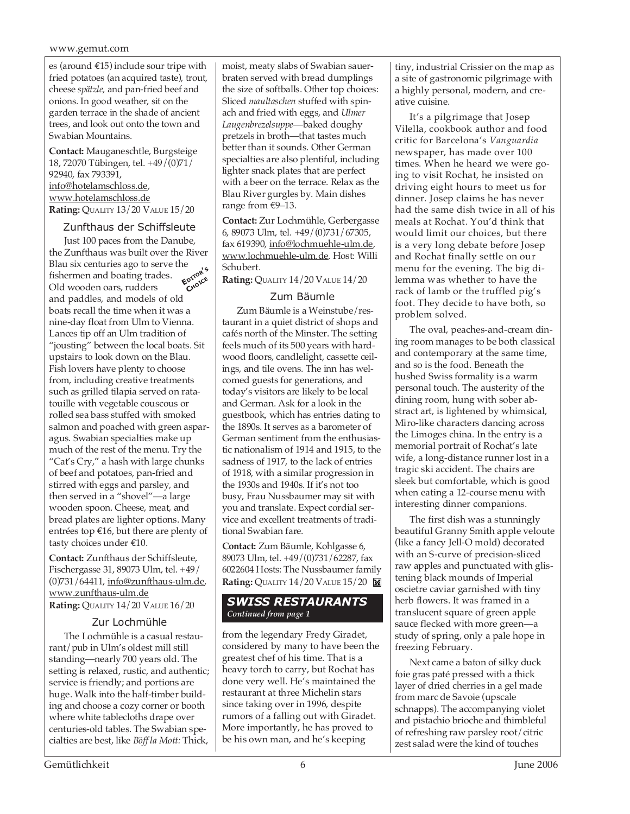#### www.gemut.com

es (around €15) include sour tripe with fried potatoes (an acquired taste), trout, cheese *spätzle,* and pan-fried beef and onions. In good weather, sit on the garden terrace in the shade of ancient trees, and look out onto the town and Swabian Mountains.

**Contact:** Mauganeschtle, Burgsteige 18, 72070 Tübingen, tel. +49/(0)71/ 92940, fax 793391, info@hotelamschloss.de, www.hotelamschloss.de **Rating:** QUALITY 13/20 VALUE 15/20

#### Zunfthaus der Schiffsleute

Just 100 paces from the Danube, the Zunfthaus was built over the River Blau six centuries ago to serve the fishermen and boating trades. Old wooden oars, rudders and paddles, and models of old boats recall the time when it was a nine-day float from Ulm to Vienna. Lances tip off an Ulm tradition of "jousting" between the local boats. Sit upstairs to look down on the Blau. Fish lovers have plenty to choose from, including creative treatments such as grilled tilapia served on ratatouille with vegetable couscous or rolled sea bass stuffed with smoked salmon and poached with green asparagus. Swabian specialties make up much of the rest of the menu. Try the "Cat's Cry," a hash with large chunks of beef and potatoes, pan-fried and stirred with eggs and parsley, and then served in a "shovel"—a large wooden spoon. Cheese, meat, and bread plates are lighter options. Many entrées top €16, but there are plenty of tasty choices under €10. **EDITOR'<sup>S</sup> CHOICE**

**Contact:** Zunfthaus der Schiffsleute, Fischergasse 31, 89073 Ulm, tel. +49/ (0)731/64411, info@zunfthaus-ulm.de, www.zunfthaus-ulm.de **Rating:** QUALITY 14/20 VALUE 16/20

#### Zur Lochmühle

The Lochmühle is a casual restaurant/pub in Ulm's oldest mill still standing—nearly 700 years old. The setting is relaxed, rustic, and authentic; service is friendly; and portions are huge. Walk into the half-timber building and choose a cozy corner or booth where white tablecloths drape over centuries-old tables. The Swabian specialties are best, like *Böff la Mott:* Thick,

moist, meaty slabs of Swabian sauerbraten served with bread dumplings the size of softballs. Other top choices: Sliced *maultaschen* stuffed with spinach and fried with eggs, and *Ulmer Laugenbrezelsuppe*—baked doughy pretzels in broth—that tastes much better than it sounds. Other German specialties are also plentiful, including lighter snack plates that are perfect with a beer on the terrace. Relax as the Blau River gurgles by. Main dishes range from €9–13.

**Contact:** Zur Lochmühle, Gerbergasse 6, 89073 Ulm, tel. +49/(0)731/67305, fax 619390, info@lochmuehle-ulm.de, www.lochmuehle-ulm.de. Host: Willi Schubert.

**Rating:** QUALITY 14/20 VALUE 14/20

#### Zum Bäumle

Zum Bäumle is a Weinstube/restaurant in a quiet district of shops and cafés north of the Minster. The setting feels much of its 500 years with hardwood floors, candlelight, cassette ceilings, and tile ovens. The inn has welcomed guests for generations, and today's visitors are likely to be local and German. Ask for a look in the guestbook, which has entries dating to the 1890s. It serves as a barometer of German sentiment from the enthusiastic nationalism of 1914 and 1915, to the sadness of 1917, to the lack of entries of 1918, with a similar progression in the 1930s and 1940s. If it's not too busy, Frau Nussbaumer may sit with you and translate. Expect cordial service and excellent treatments of traditional Swabian fare.

**Contact:** Zum Bäumle, Kohlgasse 6, 89073 Ulm, tel. +49/(0)731/62287, fax 6022604 Hosts: The Nussbaumer family **Rating:** QUALITY 14/20 VALUE 15/20

#### *SWISS RESTAURANTS Continued from page 1*

from the legendary Fredy Giradet, considered by many to have been the greatest chef of his time. That is a heavy torch to carry, but Rochat has done very well. He's maintained the restaurant at three Michelin stars since taking over in 1996, despite rumors of a falling out with Giradet. More importantly, he has proved to be his own man, and he's keeping

tiny, industrial Crissier on the map as a site of gastronomic pilgrimage with a highly personal, modern, and creative cuisine.

It's a pilgrimage that Josep Vilella, cookbook author and food critic for Barcelona's *Vanguardia* newspaper, has made over 100 times. When he heard we were going to visit Rochat, he insisted on driving eight hours to meet us for dinner. Josep claims he has never had the same dish twice in all of his meals at Rochat. You'd think that would limit our choices, but there is a very long debate before Josep and Rochat finally settle on our menu for the evening. The big dilemma was whether to have the rack of lamb or the truffled pig's foot. They decide to have both, so problem solved.

The oval, peaches-and-cream dining room manages to be both classical and contemporary at the same time, and so is the food. Beneath the hushed Swiss formality is a warm personal touch. The austerity of the dining room, hung with sober abstract art, is lightened by whimsical, Miro-like characters dancing across the Limoges china. In the entry is a memorial portrait of Rochat's late wife, a long-distance runner lost in a tragic ski accident. The chairs are sleek but comfortable, which is good when eating a 12-course menu with interesting dinner companions.

The first dish was a stunningly beautiful Granny Smith apple veloute (like a fancy Jell-O mold) decorated with an S-curve of precision-sliced raw apples and punctuated with glistening black mounds of Imperial oscietre caviar garnished with tiny herb flowers. It was framed in a translucent square of green apple sauce flecked with more green—a study of spring, only a pale hope in freezing February.

Next came a baton of silky duck foie gras paté pressed with a thick layer of dried cherries in a gel made from marc de Savoie (upscale schnapps). The accompanying violet and pistachio brioche and thimbleful of refreshing raw parsley root/citric zest salad were the kind of touches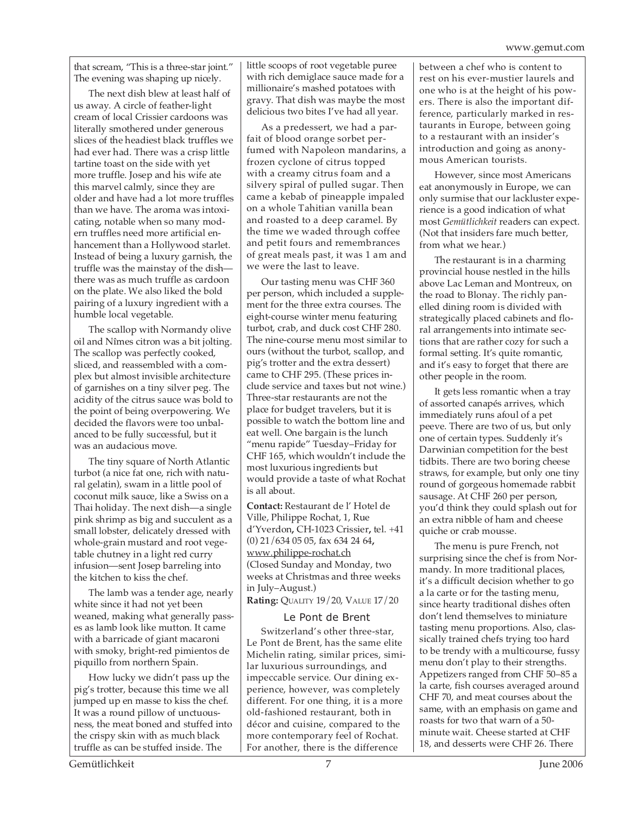that scream, "This is a three-star joint." The evening was shaping up nicely.

The next dish blew at least half of us away. A circle of feather-light cream of local Crissier cardoons was literally smothered under generous slices of the headiest black truffles we had ever had. There was a crisp little tartine toast on the side with yet more truffle. Josep and his wife ate this marvel calmly, since they are older and have had a lot more truffles than we have. The aroma was intoxicating, notable when so many modern truffles need more artificial enhancement than a Hollywood starlet. Instead of being a luxury garnish, the truffle was the mainstay of the dish there was as much truffle as cardoon on the plate. We also liked the bold pairing of a luxury ingredient with a humble local vegetable.

The scallop with Normandy olive oil and Nîmes citron was a bit jolting. The scallop was perfectly cooked, sliced, and reassembled with a complex but almost invisible architecture of garnishes on a tiny silver peg. The acidity of the citrus sauce was bold to the point of being overpowering. We decided the flavors were too unbalanced to be fully successful, but it was an audacious move.

The tiny square of North Atlantic turbot (a nice fat one, rich with natural gelatin), swam in a little pool of coconut milk sauce, like a Swiss on a Thai holiday. The next dish—a single pink shrimp as big and succulent as a small lobster, delicately dressed with whole-grain mustard and root vegetable chutney in a light red curry infusion—sent Josep barreling into the kitchen to kiss the chef.

The lamb was a tender age, nearly white since it had not yet been weaned, making what generally passes as lamb look like mutton. It came with a barricade of giant macaroni with smoky, bright-red pimientos de piquillo from northern Spain.

How lucky we didn't pass up the pig's trotter, because this time we all jumped up en masse to kiss the chef. It was a round pillow of unctuousness, the meat boned and stuffed into the crispy skin with as much black truffle as can be stuffed inside. The

little scoops of root vegetable puree with rich demiglace sauce made for a millionaire's mashed potatoes with gravy. That dish was maybe the most delicious two bites I've had all year.

As a predessert, we had a parfait of blood orange sorbet perfumed with Napoleon mandarins, a frozen cyclone of citrus topped with a creamy citrus foam and a silvery spiral of pulled sugar. Then came a kebab of pineapple impaled on a whole Tahitian vanilla bean and roasted to a deep caramel. By the time we waded through coffee and petit fours and remembrances of great meals past, it was 1 am and we were the last to leave.

Our tasting menu was CHF 360 per person, which included a supplement for the three extra courses. The eight-course winter menu featuring turbot, crab, and duck cost CHF 280. The nine-course menu most similar to ours (without the turbot, scallop, and pig's trotter and the extra dessert) came to CHF 295. (These prices include service and taxes but not wine.) Three-star restaurants are not the place for budget travelers, but it is possible to watch the bottom line and eat well. One bargain is the lunch "menu rapide" Tuesday–Friday for CHF 165, which wouldn't include the most luxurious ingredients but would provide a taste of what Rochat is all about.

**Contact:** Restaurant de l' Hotel de Ville, Philippe Rochat, 1, Rue d'Yverdon**,** CH-1023 Crissier**,** tel. +41 (0) 21/634 05 05, fax 634 24 64**,** www.philippe-rochat.ch (Closed Sunday and Monday, two weeks at Christmas and three weeks in July–August.) **Rating:** QUALITY 19/20, VALUE 17/20

#### Le Pont de Brent

Switzerland's other three-star, Le Pont de Brent, has the same elite Michelin rating, similar prices, similar luxurious surroundings, and impeccable service. Our dining experience, however, was completely different. For one thing, it is a more old-fashioned restaurant, both in décor and cuisine, compared to the more contemporary feel of Rochat. For another, there is the difference

between a chef who is content to rest on his ever-mustier laurels and one who is at the height of his powers. There is also the important difference, particularly marked in restaurants in Europe, between going to a restaurant with an insider's introduction and going as anonymous American tourists.

However, since most Americans eat anonymously in Europe, we can only surmise that our lackluster experience is a good indication of what most *Gemütlichkeit* readers can expect. (Not that insiders fare much better, from what we hear.)

The restaurant is in a charming provincial house nestled in the hills above Lac Leman and Montreux, on the road to Blonay. The richly panelled dining room is divided with strategically placed cabinets and floral arrangements into intimate sections that are rather cozy for such a formal setting. It's quite romantic, and it's easy to forget that there are other people in the room.

It gets less romantic when a tray of assorted canapés arrives, which immediately runs afoul of a pet peeve. There are two of us, but only one of certain types. Suddenly it's Darwinian competition for the best tidbits. There are two boring cheese straws, for example, but only one tiny round of gorgeous homemade rabbit sausage. At CHF 260 per person, you'd think they could splash out for an extra nibble of ham and cheese quiche or crab mousse.

The menu is pure French, not surprising since the chef is from Normandy. In more traditional places, it's a difficult decision whether to go a la carte or for the tasting menu, since hearty traditional dishes often don't lend themselves to miniature tasting menu proportions. Also, classically trained chefs trying too hard to be trendy with a multicourse, fussy menu don't play to their strengths. Appetizers ranged from CHF 50–85 a la carte, fish courses averaged around CHF 70, and meat courses about the same, with an emphasis on game and roasts for two that warn of a 50 minute wait. Cheese started at CHF 18, and desserts were CHF 26. There